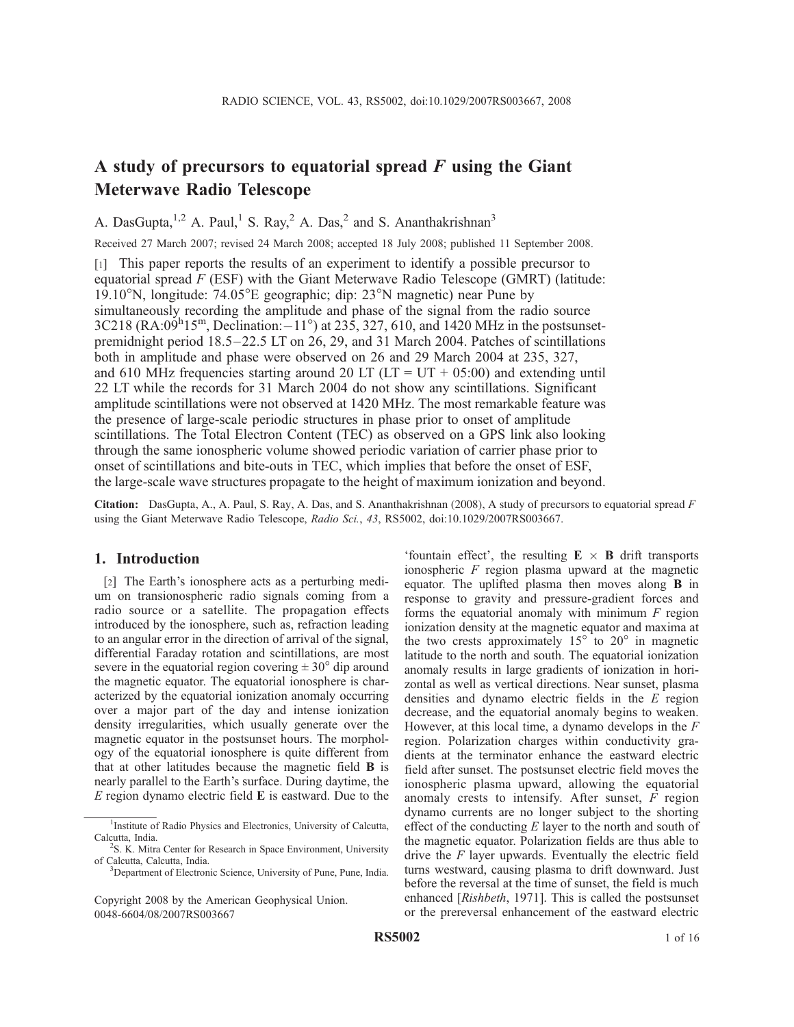### A study of precursors to equatorial spread  $F$  using the Giant Meterwave Radio Telescope

A. DasGupta,  $1,2$  A. Paul,  $1$  S. Ray,  $2$  A. Das,  $2$  and S. Ananthakrishnan<sup>3</sup>

Received 27 March 2007; revised 24 March 2008; accepted 18 July 2008; published 11 September 2008.

[1] This paper reports the results of an experiment to identify a possible precursor to equatorial spread *F* (ESF) with the Giant Meterwave Radio Telescope (GMRT) (latitude: 19.10<sup>o</sup>N, longitude:  $74.05^{\circ}E$  geographic; dip:  $23^{\circ}N$  magnetic) near Pune by simultaneously recording the amplitude and phase of the signal from the radio source  $3C218$  (RA:09<sup>h</sup>15<sup>m</sup>, Declination: $-11^{\circ}$ ) at 235, 327, 610, and 1420 MHz in the postsunsetpremidnight period 18.5–22.5 LT on 26, 29, and 31 March 2004. Patches of scintillations both in amplitude and phase were observed on 26 and 29 March 2004 at 235, 327, and 610 MHz frequencies starting around 20 LT (LT =  $UT + 05:00$ ) and extending until 22 LT while the records for 31 March 2004 do not show any scintillations. Significant amplitude scintillations were not observed at 1420 MHz. The most remarkable feature was the presence of large-scale periodic structures in phase prior to onset of amplitude scintillations. The Total Electron Content (TEC) as observed on a GPS link also looking through the same ionospheric volume showed periodic variation of carrier phase prior to onset of scintillations and bite-outs in TEC, which implies that before the onset of ESF, the large-scale wave structures propagate to the height of maximum ionization and beyond.

Citation: DasGupta, A., A. Paul, S. Ray, A. Das, and S. Ananthakrishnan (2008), A study of precursors to equatorial spread *F* using the Giant Meterwave Radio Telescope, *Radio Sci.*, *43*, RS5002, doi:10.1029/2007RS003667.

#### 1. Introduction

[2] The Earth's ionosphere acts as a perturbing medium on transionospheric radio signals coming from a radio source or a satellite. The propagation effects introduced by the ionosphere, such as, refraction leading to an angular error in the direction of arrival of the signal, differential Faraday rotation and scintillations, are most severe in the equatorial region covering  $\pm 30^{\circ}$  dip around the magnetic equator. The equatorial ionosphere is characterized by the equatorial ionization anomaly occurring over a major part of the day and intense ionization density irregularities, which usually generate over the magnetic equator in the postsunset hours. The morphology of the equatorial ionosphere is quite different from that at other latitudes because the magnetic field B is nearly parallel to the Earth's surface. During daytime, the *E* region dynamo electric field E is eastward. Due to the

'fountain effect', the resulting  $\mathbf{E} \times \mathbf{B}$  drift transports ionospheric *F* region plasma upward at the magnetic equator. The uplifted plasma then moves along B in response to gravity and pressure-gradient forces and forms the equatorial anomaly with minimum *F* region ionization density at the magnetic equator and maxima at the two crests approximately  $15^{\circ}$  to  $20^{\circ}$  in magnetic latitude to the north and south. The equatorial ionization anomaly results in large gradients of ionization in horizontal as well as vertical directions. Near sunset, plasma densities and dynamo electric fields in the *E* region decrease, and the equatorial anomaly begins to weaken. However, at this local time, a dynamo develops in the *F* region. Polarization charges within conductivity gradients at the terminator enhance the eastward electric field after sunset. The postsunset electric field moves the ionospheric plasma upward, allowing the equatorial anomaly crests to intensify. After sunset, *F* region dynamo currents are no longer subject to the shorting effect of the conducting *E* layer to the north and south of the magnetic equator. Polarization fields are thus able to drive the *F* layer upwards. Eventually the electric field turns westward, causing plasma to drift downward. Just before the reversal at the time of sunset, the field is much enhanced [*Rishbeth*, 1971]. This is called the postsunset or the prereversal enhancement of the eastward electric

<sup>&</sup>lt;sup>1</sup>Institute of Radio Physics and Electronics, University of Calcutta, Calcutta, India.

<sup>&</sup>lt;sup>2</sup>S. K. Mitra Center for Research in Space Environment, University of Calcutta, Calcutta, India.

<sup>&</sup>lt;sup>3</sup>Department of Electronic Science, University of Pune, Pune, India.

Copyright 2008 by the American Geophysical Union. 0048-6604/08/2007RS003667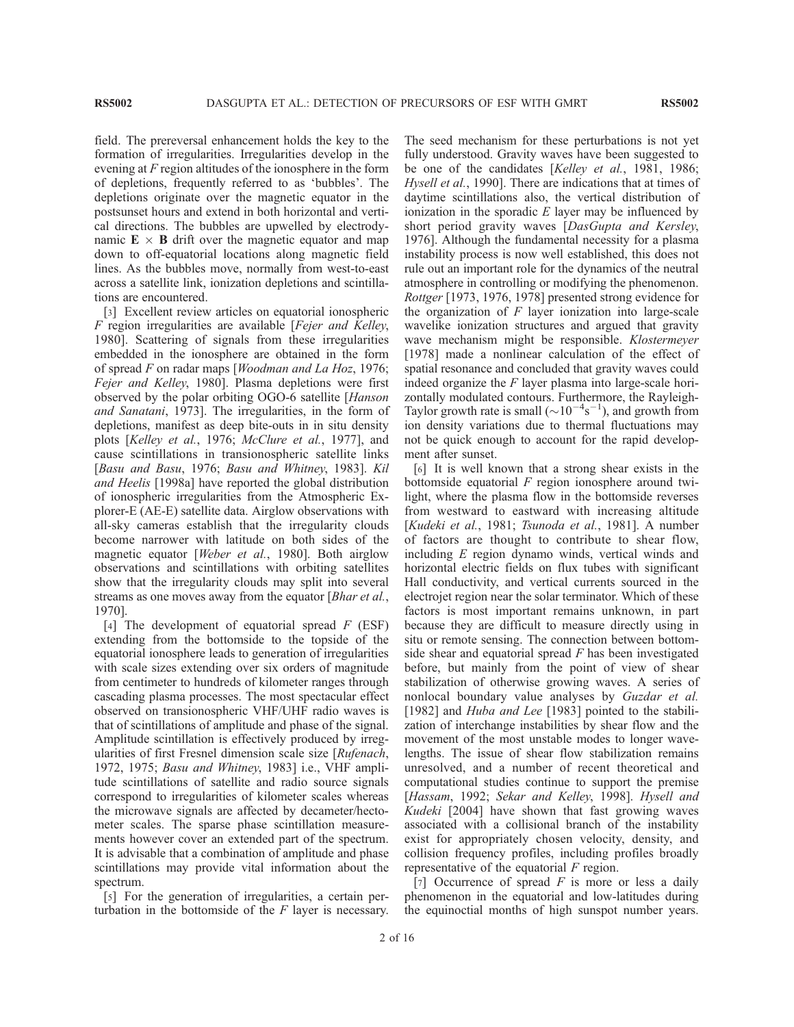field. The prereversal enhancement holds the key to the formation of irregularities. Irregularities develop in the evening at *F* region altitudes of the ionosphere in the form of depletions, frequently referred to as 'bubbles'. The depletions originate over the magnetic equator in the postsunset hours and extend in both horizontal and vertical directions. The bubbles are upwelled by electrodynamic  $\mathbf{E} \times \mathbf{B}$  drift over the magnetic equator and map down to off-equatorial locations along magnetic field lines. As the bubbles move, normally from west-to-east across a satellite link, ionization depletions and scintillations are encountered.

[3] Excellent review articles on equatorial ionospheric *F* region irregularities are available [*Fejer and Kelley*, 1980]. Scattering of signals from these irregularities embedded in the ionosphere are obtained in the form of spread *F* on radar maps [*Woodman and La Hoz*, 1976; *Fejer and Kelley*, 1980]. Plasma depletions were first observed by the polar orbiting OGO-6 satellite [*Hanson and Sanatani*, 1973]. The irregularities, in the form of depletions, manifest as deep bite-outs in in situ density plots [*Kelley et al.*, 1976; *McClure et al.*, 1977], and cause scintillations in transionospheric satellite links [*Basu and Basu*, 1976; *Basu and Whitney*, 1983]. *Kil and Heelis* [1998a] have reported the global distribution of ionospheric irregularities from the Atmospheric Explorer-E (AE-E) satellite data. Airglow observations with all-sky cameras establish that the irregularity clouds become narrower with latitude on both sides of the magnetic equator [*Weber et al.*, 1980]. Both airglow observations and scintillations with orbiting satellites show that the irregularity clouds may split into several streams as one moves away from the equator [*Bhar et al.*, 1970].

[4] The development of equatorial spread *F* (ESF) extending from the bottomside to the topside of the equatorial ionosphere leads to generation of irregularities with scale sizes extending over six orders of magnitude from centimeter to hundreds of kilometer ranges through cascading plasma processes. The most spectacular effect observed on transionospheric VHF/UHF radio waves is that of scintillations of amplitude and phase of the signal. Amplitude scintillation is effectively produced by irregularities of first Fresnel dimension scale size [*Rufenach*, 1972, 1975; *Basu and Whitney*, 1983] i.e., VHF amplitude scintillations of satellite and radio source signals correspond to irregularities of kilometer scales whereas the microwave signals are affected by decameter/hectometer scales. The sparse phase scintillation measurements however cover an extended part of the spectrum. It is advisable that a combination of amplitude and phase scintillations may provide vital information about the spectrum.

[5] For the generation of irregularities, a certain perturbation in the bottomside of the *F* layer is necessary. The seed mechanism for these perturbations is not yet fully understood. Gravity waves have been suggested to be one of the candidates [*Kelley et al.*, 1981, 1986; *Hysell et al.*, 1990]. There are indications that at times of daytime scintillations also, the vertical distribution of ionization in the sporadic *E* layer may be influenced by short period gravity waves [*DasGupta and Kersley*, 1976]. Although the fundamental necessity for a plasma instability process is now well established, this does not rule out an important role for the dynamics of the neutral atmosphere in controlling or modifying the phenomenon. *Rottger* [1973, 1976, 1978] presented strong evidence for the organization of *F* layer ionization into large-scale wavelike ionization structures and argued that gravity wave mechanism might be responsible. *Klostermeyer* [1978] made a nonlinear calculation of the effect of spatial resonance and concluded that gravity waves could indeed organize the *F* layer plasma into large-scale horizontally modulated contours. Furthermore, the Rayleigh-Taylor growth rate is small  $({\sim}10^{-4}s^{-1})$ , and growth from ion density variations due to thermal fluctuations may not be quick enough to account for the rapid development after sunset.

[6] It is well known that a strong shear exists in the bottomside equatorial *F* region ionosphere around twilight, where the plasma flow in the bottomside reverses from westward to eastward with increasing altitude [*Kudeki et al.*, 1981; *Tsunoda et al.*, 1981]. A number of factors are thought to contribute to shear flow, including *E* region dynamo winds, vertical winds and horizontal electric fields on flux tubes with significant Hall conductivity, and vertical currents sourced in the electrojet region near the solar terminator. Which of these factors is most important remains unknown, in part because they are difficult to measure directly using in situ or remote sensing. The connection between bottomside shear and equatorial spread *F* has been investigated before, but mainly from the point of view of shear stabilization of otherwise growing waves. A series of nonlocal boundary value analyses by *Guzdar et al.* [1982] and *Huba and Lee* [1983] pointed to the stabilization of interchange instabilities by shear flow and the movement of the most unstable modes to longer wavelengths. The issue of shear flow stabilization remains unresolved, and a number of recent theoretical and computational studies continue to support the premise [*Hassam*, 1992; *Sekar and Kelley*, 1998]. *Hysell and Kudeki* [2004] have shown that fast growing waves associated with a collisional branch of the instability exist for appropriately chosen velocity, density, and collision frequency profiles, including profiles broadly representative of the equatorial *F* region.

[7] Occurrence of spread *F* is more or less a daily phenomenon in the equatorial and low-latitudes during the equinoctial months of high sunspot number years.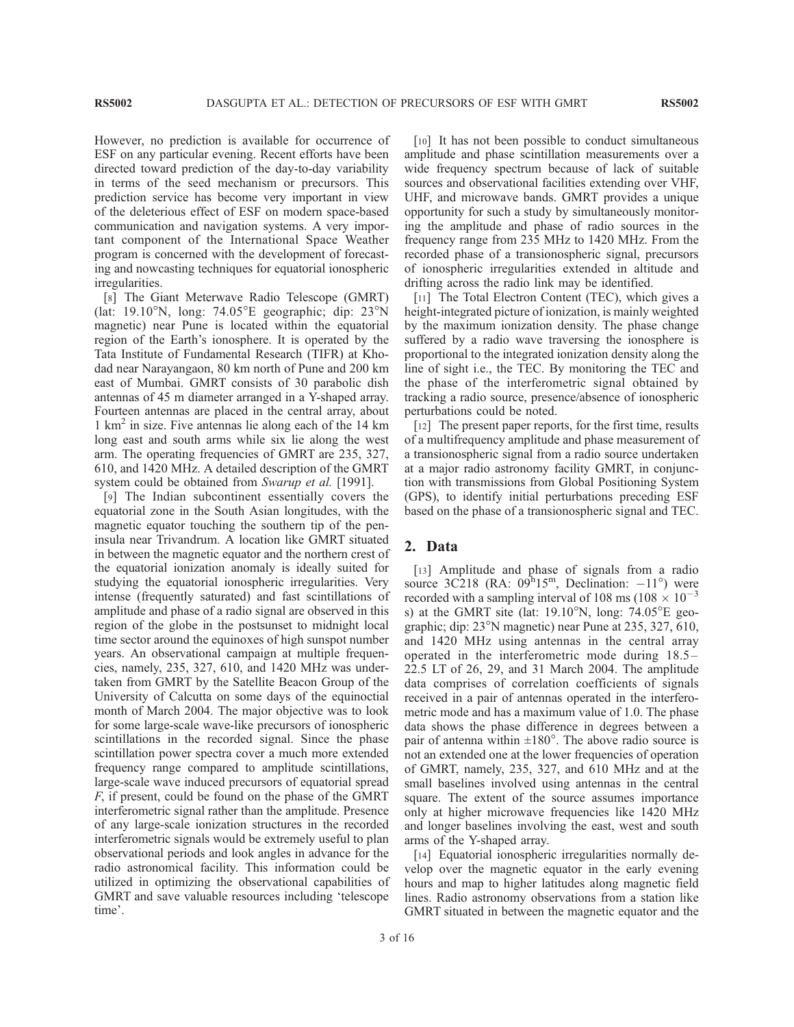However, no prediction is available for occurrence of ESF on any particular evening. Recent efforts have been directed toward prediction of the day-to-day variability in terms of the seed mechanism or precursors. This prediction service has become very important in view of the deleterious effect of ESF on modern space-based communication and navigation systems. A very important component of the International Space Weather program is concerned with the development of forecasting and nowcasting techniques for equatorial ionospheric irregularities.

[8] The Giant Meterwave Radio Telescope (GMRT) (lat: 19.10 $\textdegree N$ , long: 74.05 $\textdegree E$  geographic; dip: 23 $\textdegree N$ magnetic) near Pune is located within the equatorial region of the Earth's ionosphere. It is operated by the Tata Institute of Fundamental Research (TIFR) at Khodad near Narayangaon, 80 km north of Pune and 200 km east of Mumbai. GMRT consists of 30 parabolic dish antennas of 45 m diameter arranged in a Y-shaped array. Fourteen antennas are placed in the central array, about 1 km<sup>2</sup> in size. Five antennas lie along each of the 14 km long east and south arms while six lie along the west arm. The operating frequencies of GMRT are 235, 327, 610, and 1420 MHz. A detailed description of the GMRT system could be obtained from *Swarup et al.* [1991].

[9] The Indian subcontinent essentially covers the equatorial zone in the South Asian longitudes, with the magnetic equator touching the southern tip of the peninsula near Trivandrum. A location like GMRT situated in between the magnetic equator and the northern crest of the equatorial ionization anomaly is ideally suited for studying the equatorial ionospheric irregularities. Very intense (frequently saturated) and fast scintillations of amplitude and phase of a radio signal are observed in this region of the globe in the postsunset to midnight local time sector around the equinoxes of high sunspot number years. An observational campaign at multiple frequencies, namely, 235, 327, 610, and 1420 MHz was undertaken from GMRT by the Satellite Beacon Group of the University of Calcutta on some days of the equinoctial month of March 2004. The major objective was to look for some large-scale wave-like precursors of ionospheric scintillations in the recorded signal. Since the phase scintillation power spectra cover a much more extended frequency range compared to amplitude scintillations, large-scale wave induced precursors of equatorial spread *F*, if present, could be found on the phase of the GMRT interferometric signal rather than the amplitude. Presence of any large-scale ionization structures in the recorded interferometric signals would be extremely useful to plan observational periods and look angles in advance for the radio astronomical facility. This information could be utilized in optimizing the observational capabilities of GMRT and save valuable resources including 'telescope time'.

[10] It has not been possible to conduct simultaneous amplitude and phase scintillation measurements over a wide frequency spectrum because of lack of suitable sources and observational facilities extending over VHF, UHF, and microwave bands. GMRT provides a unique opportunity for such a study by simultaneously monitoring the amplitude and phase of radio sources in the frequency range from 235 MHz to 1420 MHz. From the recorded phase of a transionospheric signal, precursors of ionospheric irregularities extended in altitude and drifting across the radio link may be identified.

[11] The Total Electron Content (TEC), which gives a height-integrated picture of ionization, is mainly weighted by the maximum ionization density. The phase change suffered by a radio wave traversing the ionosphere is proportional to the integrated ionization density along the line of sight i.e., the TEC. By monitoring the TEC and the phase of the interferometric signal obtained by tracking a radio source, presence/absence of ionospheric perturbations could be noted.

[12] The present paper reports, for the first time, results of a multifrequency amplitude and phase measurement of a transionospheric signal from a radio source undertaken at a major radio astronomy facility GMRT, in conjunction with transmissions from Global Positioning System (GPS), to identify initial perturbations preceding ESF based on the phase of a transionospheric signal and TEC.

#### 2. Data

[13] Amplitude and phase of signals from a radio source  $3C218$  (RA:  $09^h15^m$ , Declination:  $-11^{\circ}$ ) were recorded with a sampling interval of  $108 \text{ ms } (108 \times 10^{-3})$ s) at the GMRT site (lat:  $19.10^{\circ}$ N, long:  $74.05^{\circ}$ E geographic; dip:  $23^{\circ}$ N magnetic) near Pune at 235, 327, 610, and 1420 MHz using antennas in the central array operated in the interferometric mode during 18.5 – 22.5 LT of 26, 29, and 31 March 2004. The amplitude data comprises of correlation coefficients of signals received in a pair of antennas operated in the interferometric mode and has a maximum value of 1.0. The phase data shows the phase difference in degrees between a pair of antenna within  $\pm 180^\circ$ . The above radio source is not an extended one at the lower frequencies of operation of GMRT, namely, 235, 327, and 610 MHz and at the small baselines involved using antennas in the central square. The extent of the source assumes importance only at higher microwave frequencies like 1420 MHz and longer baselines involving the east, west and south arms of the Y-shaped array.

[14] Equatorial ionospheric irregularities normally develop over the magnetic equator in the early evening hours and map to higher latitudes along magnetic field lines. Radio astronomy observations from a station like GMRT situated in between the magnetic equator and the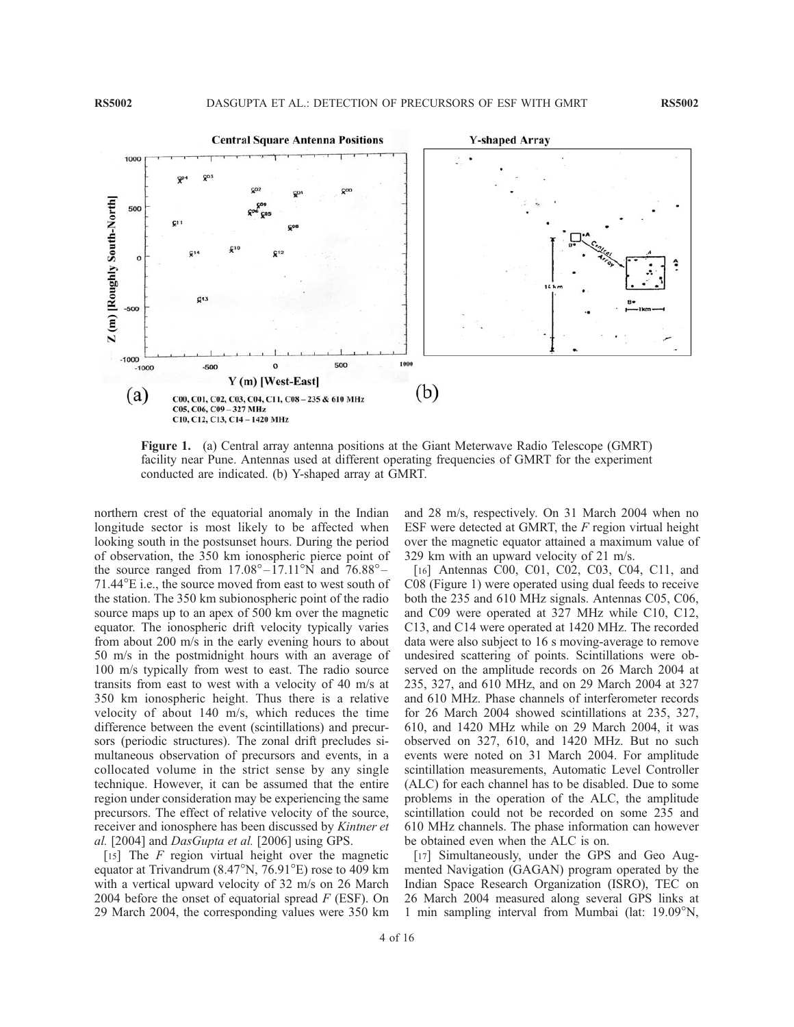

Figure 1. (a) Central array antenna positions at the Giant Meterwave Radio Telescope (GMRT) facility near Pune. Antennas used at different operating frequencies of GMRT for the experiment conducted are indicated. (b) Y-shaped array at GMRT.

northern crest of the equatorial anomaly in the Indian longitude sector is most likely to be affected when looking south in the postsunset hours. During the period of observation, the 350 km ionospheric pierce point of the source ranged from  $17.08^{\circ} - 17.11^{\circ}$ N and  $76.88^{\circ} 71.44^{\circ}$ E i.e., the source moved from east to west south of the station. The 350 km subionospheric point of the radio source maps up to an apex of 500 km over the magnetic equator. The ionospheric drift velocity typically varies from about 200 m/s in the early evening hours to about 50 m/s in the postmidnight hours with an average of 100 m/s typically from west to east. The radio source transits from east to west with a velocity of 40 m/s at 350 km ionospheric height. Thus there is a relative velocity of about 140 m/s, which reduces the time difference between the event (scintillations) and precursors (periodic structures). The zonal drift precludes simultaneous observation of precursors and events, in a collocated volume in the strict sense by any single technique. However, it can be assumed that the entire region under consideration may be experiencing the same precursors. The effect of relative velocity of the source, receiver and ionosphere has been discussed by *Kintner et al.* [2004] and *DasGupta et al.* [2006] using GPS.

[15] The *F* region virtual height over the magnetic equator at Trivandrum (8.47 $\mathrm{°N}$ , 76.91 $\mathrm{°E}$ ) rose to 409 km with a vertical upward velocity of 32 m/s on 26 March 2004 before the onset of equatorial spread *F* (ESF). On 29 March 2004, the corresponding values were 350 km and 28 m/s, respectively. On 31 March 2004 when no ESF were detected at GMRT, the *F* region virtual height over the magnetic equator attained a maximum value of 329 km with an upward velocity of 21 m/s.

[16] Antennas C00, C01, C02, C03, C04, C11, and C08 (Figure 1) were operated using dual feeds to receive both the 235 and 610 MHz signals. Antennas C05, C06, and C09 were operated at 327 MHz while C10, C12, C13, and C14 were operated at 1420 MHz. The recorded data were also subject to 16 s moving-average to remove undesired scattering of points. Scintillations were observed on the amplitude records on 26 March 2004 at 235, 327, and 610 MHz, and on 29 March 2004 at 327 and 610 MHz. Phase channels of interferometer records for 26 March 2004 showed scintillations at 235, 327, 610, and 1420 MHz while on 29 March 2004, it was observed on 327, 610, and 1420 MHz. But no such events were noted on 31 March 2004. For amplitude scintillation measurements, Automatic Level Controller (ALC) for each channel has to be disabled. Due to some problems in the operation of the ALC, the amplitude scintillation could not be recorded on some 235 and 610 MHz channels. The phase information can however be obtained even when the ALC is on.

[17] Simultaneously, under the GPS and Geo Augmented Navigation (GAGAN) program operated by the Indian Space Research Organization (ISRO), TEC on 26 March 2004 measured along several GPS links at 1 min sampling interval from Mumbai (lat: 19.09°N,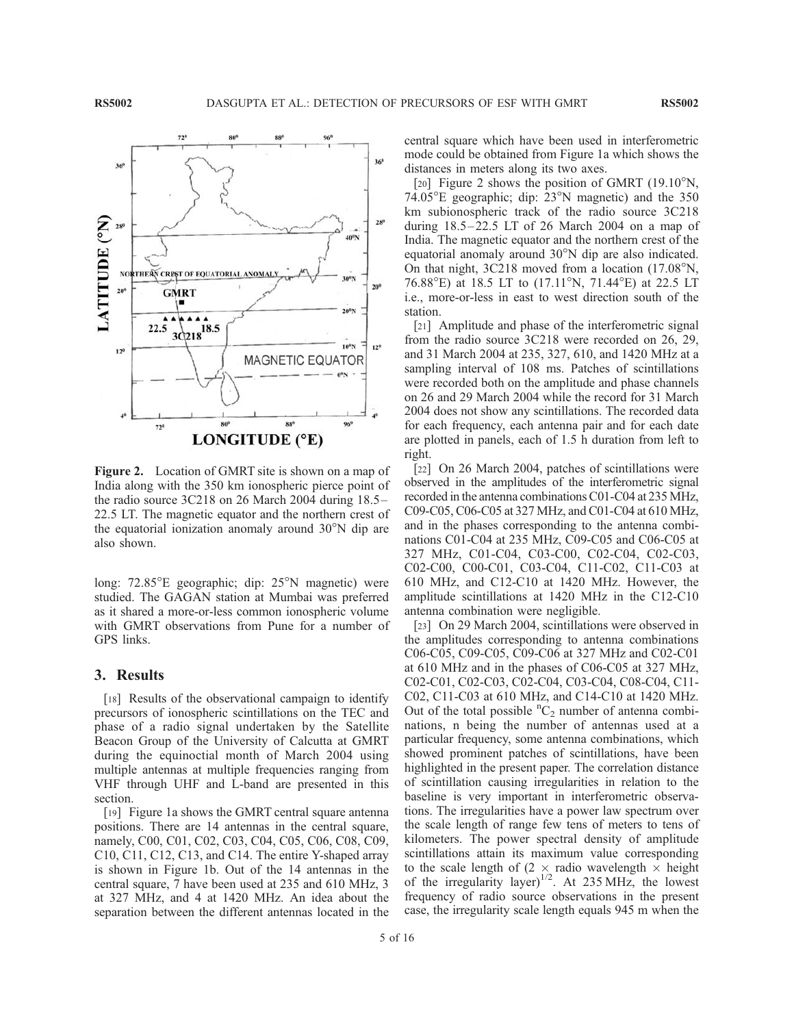

Figure 2. Location of GMRT site is shown on a map of India along with the 350 km ionospheric pierce point of the radio source 3C218 on 26 March 2004 during 18.5– 22.5 LT. The magnetic equator and the northern crest of the equatorial ionization anomaly around  $30^{\circ}$ N dip are also shown.

long: 72.85°E geographic; dip: 25°N magnetic) were studied. The GAGAN station at Mumbai was preferred as it shared a more-or-less common ionospheric volume with GMRT observations from Pune for a number of GPS links.

#### 3. Results

[18] Results of the observational campaign to identify precursors of ionospheric scintillations on the TEC and phase of a radio signal undertaken by the Satellite Beacon Group of the University of Calcutta at GMRT during the equinoctial month of March 2004 using multiple antennas at multiple frequencies ranging from VHF through UHF and L-band are presented in this section.

[19] Figure 1a shows the GMRT central square antenna positions. There are 14 antennas in the central square, namely, C00, C01, C02, C03, C04, C05, C06, C08, C09, C10, C11, C12, C13, and C14. The entire Y-shaped array is shown in Figure 1b. Out of the 14 antennas in the central square, 7 have been used at 235 and 610 MHz, 3 at 327 MHz, and 4 at 1420 MHz. An idea about the separation between the different antennas located in the

central square which have been used in interferometric mode could be obtained from Figure 1a which shows the distances in meters along its two axes.

[20] Figure 2 shows the position of GMRT  $(19.10^{\circ}N,$ 74.05 $^{\circ}$ E geographic; dip: 23 $^{\circ}$ N magnetic) and the 350 km subionospheric track of the radio source 3C218 during  $18.5-22.5$  LT of 26 March 2004 on a map of India. The magnetic equator and the northern crest of the equatorial anomaly around 30°N dip are also indicated. On that night,  $3C218$  moved from a location  $(17.08^{\circ}N,$ 76.88 $^{\circ}$ E) at 18.5 LT to (17.11 $^{\circ}$ N, 71.44 $^{\circ}$ E) at 22.5 LT i.e., more-or-less in east to west direction south of the station.

[21] Amplitude and phase of the interferometric signal from the radio source 3C218 were recorded on 26, 29, and 31 March 2004 at 235, 327, 610, and 1420 MHz at a sampling interval of 108 ms. Patches of scintillations were recorded both on the amplitude and phase channels on 26 and 29 March 2004 while the record for 31 March 2004 does not show any scintillations. The recorded data for each frequency, each antenna pair and for each date are plotted in panels, each of 1.5 h duration from left to right.

[22] On 26 March 2004, patches of scintillations were observed in the amplitudes of the interferometric signal recorded in the antenna combinations C01-C04 at 235 MHz, C09-C05, C06-C05 at 327 MHz, and C01-C04 at 610 MHz, and in the phases corresponding to the antenna combinations C01-C04 at 235 MHz, C09-C05 and C06-C05 at 327 MHz, C01-C04, C03-C00, C02-C04, C02-C03, C02-C00, C00-C01, C03-C04, C11-C02, C11-C03 at 610 MHz, and C12-C10 at 1420 MHz. However, the amplitude scintillations at 1420 MHz in the C12-C10 antenna combination were negligible.

[23] On 29 March 2004, scintillations were observed in the amplitudes corresponding to antenna combinations C06-C05, C09-C05, C09-C06 at 327 MHz and C02-C01 at 610 MHz and in the phases of C06-C05 at 327 MHz, C02-C01, C02-C03, C02-C04, C03-C04, C08-C04, C11- C02, C11-C03 at 610 MHz, and C14-C10 at 1420 MHz. Out of the total possible  ${}^nC_2$  number of antenna combinations, n being the number of antennas used at a particular frequency, some antenna combinations, which showed prominent patches of scintillations, have been highlighted in the present paper. The correlation distance of scintillation causing irregularities in relation to the baseline is very important in interferometric observations. The irregularities have a power law spectrum over the scale length of range few tens of meters to tens of kilometers. The power spectral density of amplitude scintillations attain its maximum value corresponding to the scale length of  $(2 \times \text{radio wavelength} \times \text{height}$ of the irregularity layer) $1/2$ . At 235 MHz, the lowest frequency of radio source observations in the present case, the irregularity scale length equals 945 m when the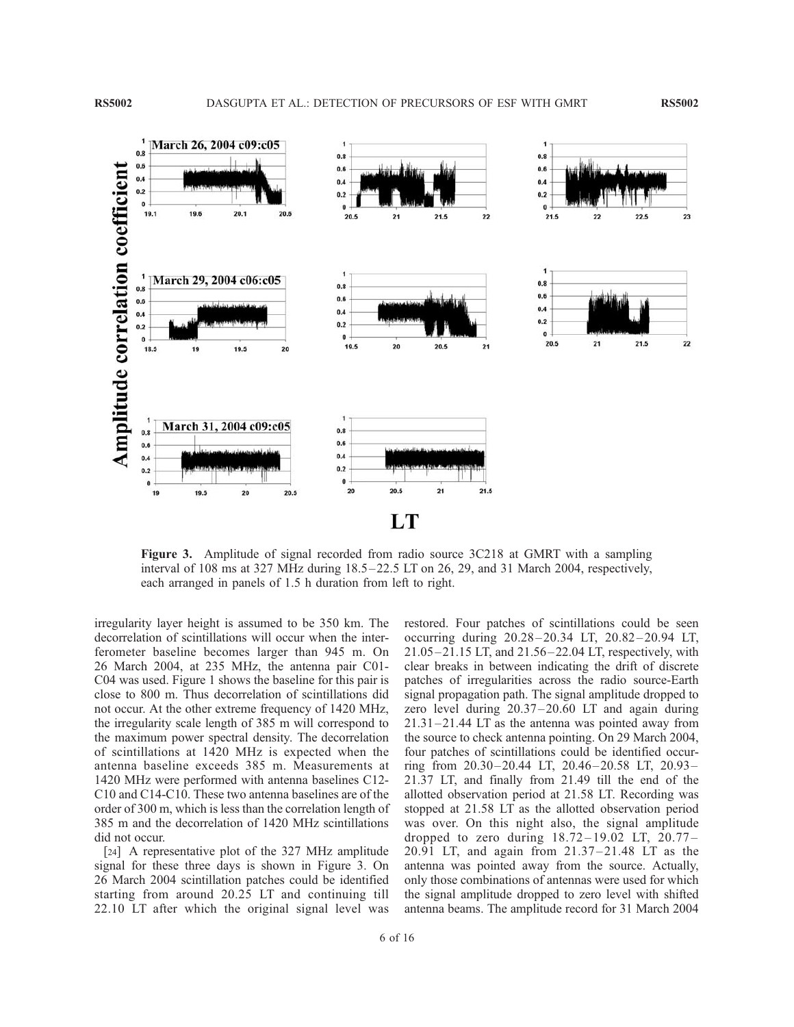RS5002 DASGUPTA ET AL.: DETECTION OF PRECURSORS OF ESF WITH GMRT



Figure 3. Amplitude of signal recorded from radio source 3C218 at GMRT with a sampling interval of 108 ms at 327 MHz during 18.5 –22.5 LT on 26, 29, and 31 March 2004, respectively, each arranged in panels of 1.5 h duration from left to right.

irregularity layer height is assumed to be 350 km. The decorrelation of scintillations will occur when the interferometer baseline becomes larger than 945 m. On 26 March 2004, at 235 MHz, the antenna pair C01- C04 was used. Figure 1 shows the baseline for this pair is close to 800 m. Thus decorrelation of scintillations did not occur. At the other extreme frequency of 1420 MHz, the irregularity scale length of 385 m will correspond to the maximum power spectral density. The decorrelation of scintillations at 1420 MHz is expected when the antenna baseline exceeds 385 m. Measurements at 1420 MHz were performed with antenna baselines C12- C10 and C14-C10. These two antenna baselines are of the order of 300 m, which is less than the correlation length of 385 m and the decorrelation of 1420 MHz scintillations did not occur.

[24] A representative plot of the 327 MHz amplitude signal for these three days is shown in Figure 3. On 26 March 2004 scintillation patches could be identified starting from around 20.25 LT and continuing till 22.10 LT after which the original signal level was restored. Four patches of scintillations could be seen occurring during 20.28 – 20.34 LT, 20.82 – 20.94 LT, 21.05 – 21.15 LT, and 21.56 – 22.04 LT, respectively, with clear breaks in between indicating the drift of discrete patches of irregularities across the radio source-Earth signal propagation path. The signal amplitude dropped to zero level during  $20.37 - 20.60$  LT and again during  $21.31 - 21.44$  LT as the antenna was pointed away from the source to check antenna pointing. On 29 March 2004, four patches of scintillations could be identified occurring from 20.30 – 20.44 LT, 20.46 – 20.58 LT, 20.93 – 21.37 LT, and finally from 21.49 till the end of the allotted observation period at 21.58 LT. Recording was stopped at 21.58 LT as the allotted observation period was over. On this night also, the signal amplitude dropped to zero during  $18.72 - 19.02$  LT,  $20.77 -$ 20.91 LT, and again from 21.37 – 21.48 LT as the antenna was pointed away from the source. Actually, only those combinations of antennas were used for which the signal amplitude dropped to zero level with shifted antenna beams. The amplitude record for 31 March 2004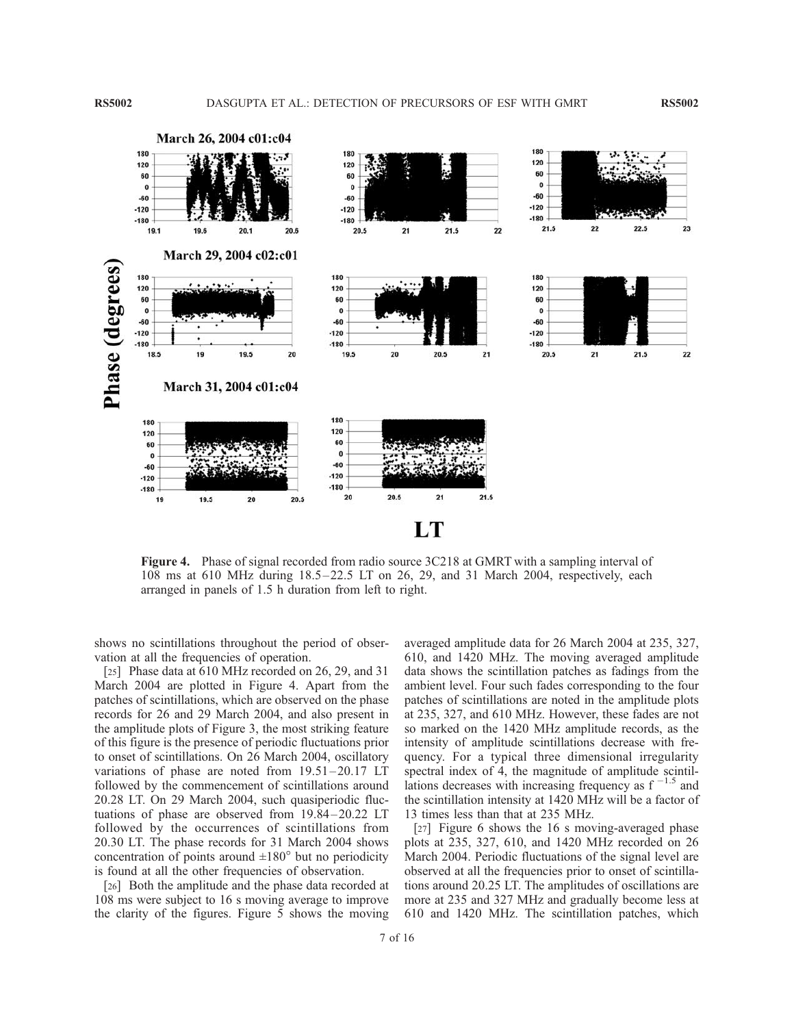

Figure 4. Phase of signal recorded from radio source 3C218 at GMRT with a sampling interval of 108 ms at 610 MHz during 18.5 –22.5 LT on 26, 29, and 31 March 2004, respectively, each arranged in panels of 1.5 h duration from left to right.

shows no scintillations throughout the period of observation at all the frequencies of operation.

[25] Phase data at 610 MHz recorded on 26, 29, and 31 March 2004 are plotted in Figure 4. Apart from the patches of scintillations, which are observed on the phase records for 26 and 29 March 2004, and also present in the amplitude plots of Figure 3, the most striking feature of this figure is the presence of periodic fluctuations prior to onset of scintillations. On 26 March 2004, oscillatory variations of phase are noted from  $19.51 - 20.17$  LT followed by the commencement of scintillations around 20.28 LT. On 29 March 2004, such quasiperiodic fluctuations of phase are observed from 19.84 – 20.22 LT followed by the occurrences of scintillations from 20.30 LT. The phase records for 31 March 2004 shows concentration of points around  $\pm 180^\circ$  but no periodicity is found at all the other frequencies of observation.

[26] Both the amplitude and the phase data recorded at 108 ms were subject to 16 s moving average to improve the clarity of the figures. Figure 5 shows the moving averaged amplitude data for 26 March 2004 at 235, 327, 610, and 1420 MHz. The moving averaged amplitude data shows the scintillation patches as fadings from the ambient level. Four such fades corresponding to the four patches of scintillations are noted in the amplitude plots at 235, 327, and 610 MHz. However, these fades are not so marked on the 1420 MHz amplitude records, as the intensity of amplitude scintillations decrease with frequency. For a typical three dimensional irregularity spectral index of 4, the magnitude of amplitude scintillations decreases with increasing frequency as  $f^{-1.5}$  and the scintillation intensity at 1420 MHz will be a factor of 13 times less than that at 235 MHz.

[27] Figure 6 shows the 16 s moving-averaged phase plots at 235, 327, 610, and 1420 MHz recorded on 26 March 2004. Periodic fluctuations of the signal level are observed at all the frequencies prior to onset of scintillations around 20.25 LT. The amplitudes of oscillations are more at 235 and 327 MHz and gradually become less at 610 and 1420 MHz. The scintillation patches, which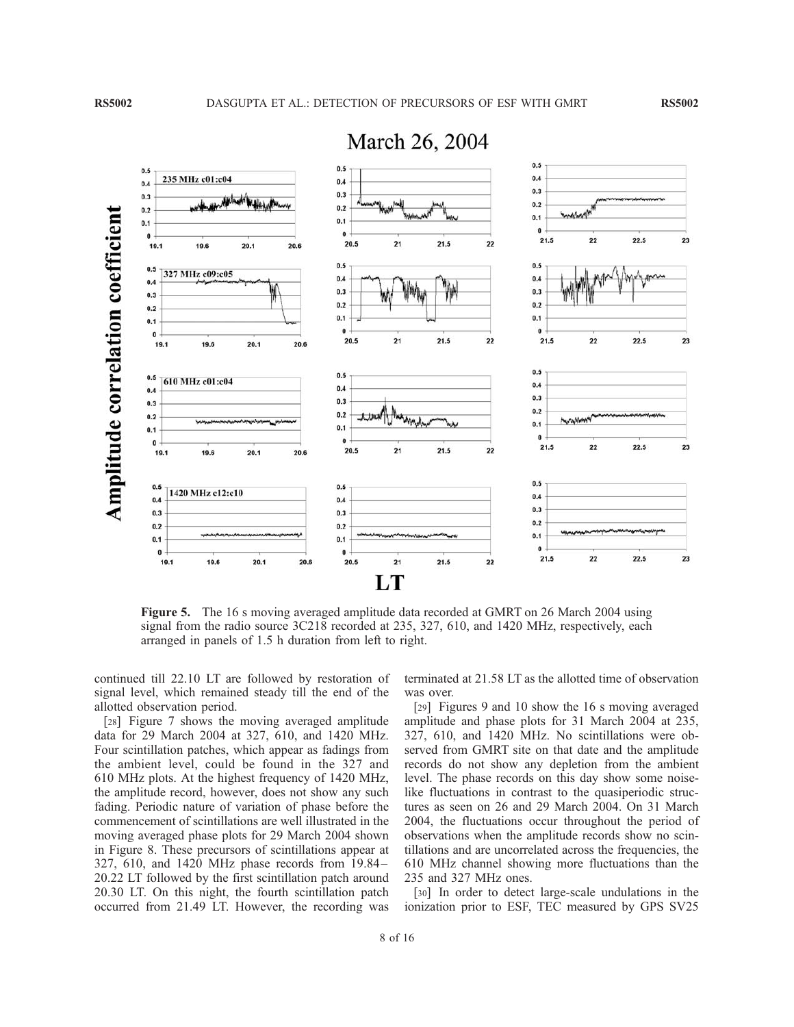

Figure 5. The 16 s moving averaged amplitude data recorded at GMRT on 26 March 2004 using signal from the radio source 3C218 recorded at 235, 327, 610, and 1420 MHz, respectively, each arranged in panels of 1.5 h duration from left to right.

continued till 22.10 LT are followed by restoration of signal level, which remained steady till the end of the allotted observation period.

[28] Figure 7 shows the moving averaged amplitude data for 29 March 2004 at 327, 610, and 1420 MHz. Four scintillation patches, which appear as fadings from the ambient level, could be found in the 327 and 610 MHz plots. At the highest frequency of 1420 MHz, the amplitude record, however, does not show any such fading. Periodic nature of variation of phase before the commencement of scintillations are well illustrated in the moving averaged phase plots for 29 March 2004 shown in Figure 8. These precursors of scintillations appear at 327, 610, and 1420 MHz phase records from 19.84 – 20.22 LT followed by the first scintillation patch around 20.30 LT. On this night, the fourth scintillation patch occurred from 21.49 LT. However, the recording was

terminated at 21.58 LT as the allotted time of observation was over.

[29] Figures 9 and 10 show the 16 s moving averaged amplitude and phase plots for 31 March 2004 at 235, 327, 610, and 1420 MHz. No scintillations were observed from GMRT site on that date and the amplitude records do not show any depletion from the ambient level. The phase records on this day show some noiselike fluctuations in contrast to the quasiperiodic structures as seen on 26 and 29 March 2004. On 31 March 2004, the fluctuations occur throughout the period of observations when the amplitude records show no scintillations and are uncorrelated across the frequencies, the 610 MHz channel showing more fluctuations than the 235 and 327 MHz ones.

[30] In order to detect large-scale undulations in the ionization prior to ESF, TEC measured by GPS SV25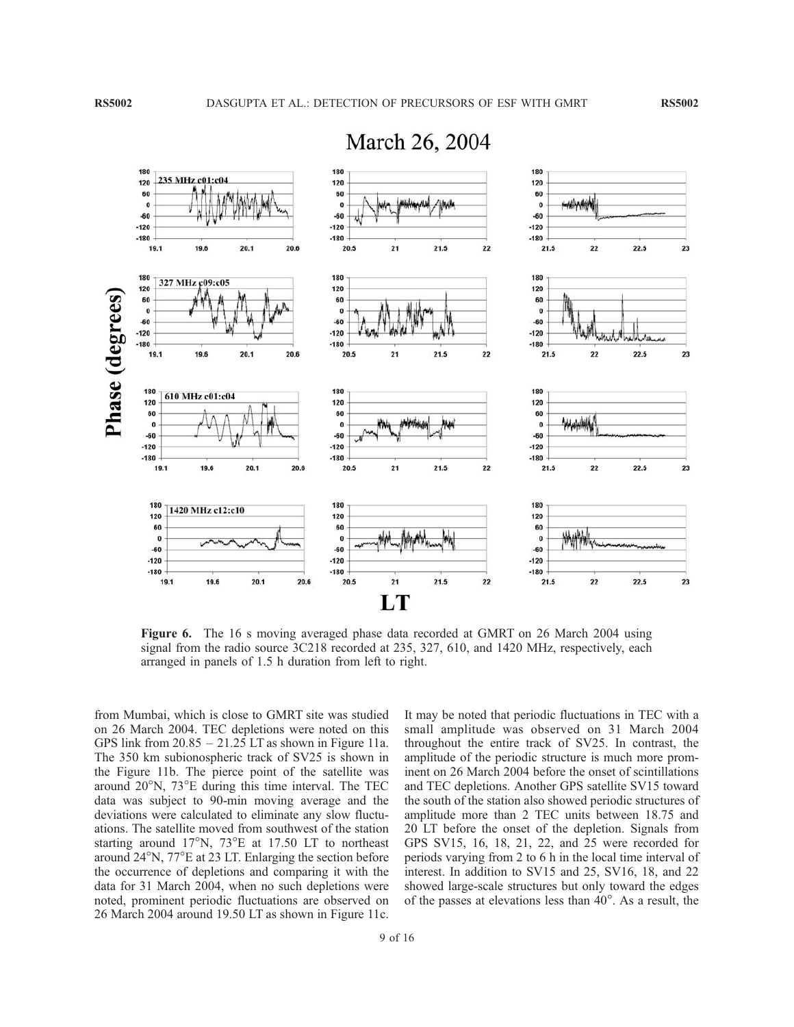

## March 26, 2004

Figure 6. The 16 s moving averaged phase data recorded at GMRT on 26 March 2004 using signal from the radio source 3C218 recorded at 235, 327, 610, and 1420 MHz, respectively, each arranged in panels of 1.5 h duration from left to right.

from Mumbai, which is close to GMRT site was studied on 26 March 2004. TEC depletions were noted on this GPS link from  $20.85 - 21.25$  LT as shown in Figure 11a. The 350 km subionospheric track of SV25 is shown in the Figure 11b. The pierce point of the satellite was around  $20^{\circ}$ N,  $73^{\circ}$ E during this time interval. The TEC data was subject to 90-min moving average and the deviations were calculated to eliminate any slow fluctuations. The satellite moved from southwest of the station starting around  $17^{\circ}$ N,  $73^{\circ}$ E at 17.50 LT to northeast around  $24^{\circ}$ N,  $77^{\circ}$ E at 23 LT. Enlarging the section before the occurrence of depletions and comparing it with the data for 31 March 2004, when no such depletions were noted, prominent periodic fluctuations are observed on 26 March 2004 around 19.50 LT as shown in Figure 11c. It may be noted that periodic fluctuations in TEC with a small amplitude was observed on 31 March 2004 throughout the entire track of SV25. In contrast, the amplitude of the periodic structure is much more prominent on 26 March 2004 before the onset of scintillations and TEC depletions. Another GPS satellite SV15 toward the south of the station also showed periodic structures of amplitude more than 2 TEC units between 18.75 and 20 LT before the onset of the depletion. Signals from GPS SV15, 16, 18, 21, 22, and 25 were recorded for periods varying from 2 to 6 h in the local time interval of interest. In addition to SV15 and 25, SV16, 18, and 22 showed large-scale structures but only toward the edges of the passes at elevations less than  $40^\circ$ . As a result, the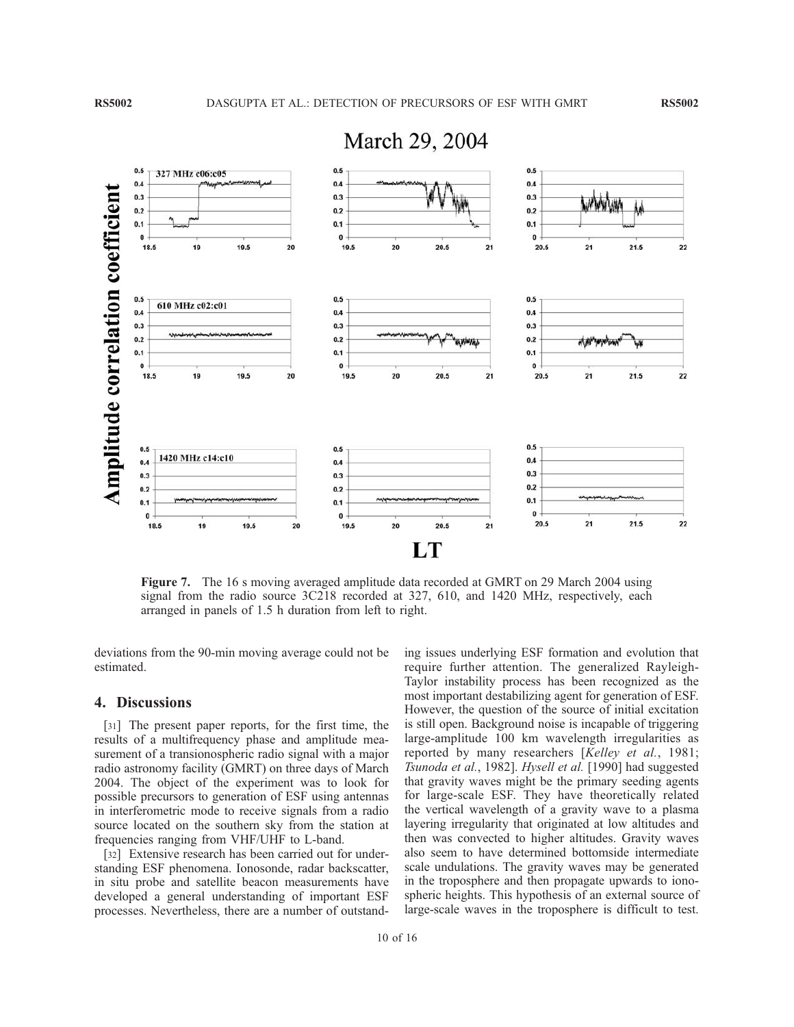

March 29, 2004

Figure 7. The 16 s moving averaged amplitude data recorded at GMRT on 29 March 2004 using signal from the radio source 3C218 recorded at 327, 610, and 1420 MHz, respectively, each arranged in panels of 1.5 h duration from left to right.

deviations from the 90-min moving average could not be estimated.

#### 4. Discussions

[31] The present paper reports, for the first time, the results of a multifrequency phase and amplitude measurement of a transionospheric radio signal with a major radio astronomy facility (GMRT) on three days of March 2004. The object of the experiment was to look for possible precursors to generation of ESF using antennas in interferometric mode to receive signals from a radio source located on the southern sky from the station at frequencies ranging from VHF/UHF to L-band.

[32] Extensive research has been carried out for understanding ESF phenomena. Ionosonde, radar backscatter, in situ probe and satellite beacon measurements have developed a general understanding of important ESF processes. Nevertheless, there are a number of outstanding issues underlying ESF formation and evolution that require further attention. The generalized Rayleigh-Taylor instability process has been recognized as the most important destabilizing agent for generation of ESF. However, the question of the source of initial excitation is still open. Background noise is incapable of triggering large-amplitude 100 km wavelength irregularities as reported by many researchers [*Kelley et al.*, 1981; *Tsunoda et al.*, 1982]. *Hysell et al.* [1990] had suggested that gravity waves might be the primary seeding agents for large-scale ESF. They have theoretically related the vertical wavelength of a gravity wave to a plasma layering irregularity that originated at low altitudes and then was convected to higher altitudes. Gravity waves also seem to have determined bottomside intermediate scale undulations. The gravity waves may be generated in the troposphere and then propagate upwards to ionospheric heights. This hypothesis of an external source of large-scale waves in the troposphere is difficult to test.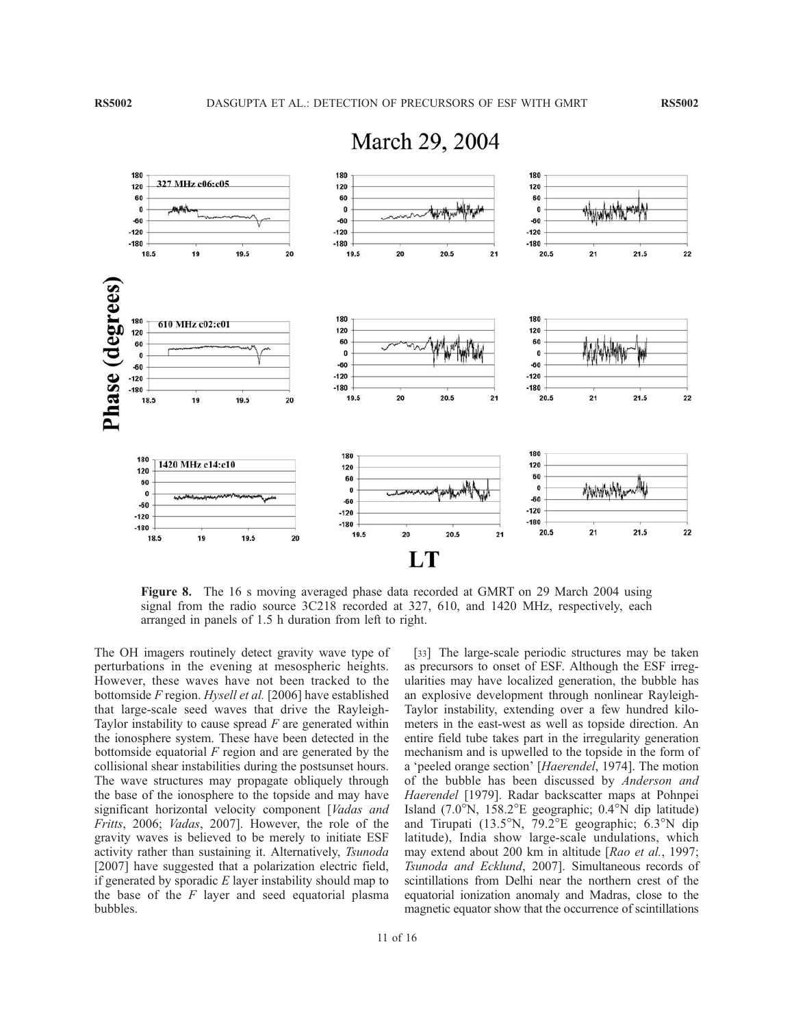

## March 29, 2004

Figure 8. The 16 s moving averaged phase data recorded at GMRT on 29 March 2004 using signal from the radio source 3C218 recorded at 327, 610, and 1420 MHz, respectively, each arranged in panels of 1.5 h duration from left to right.

The OH imagers routinely detect gravity wave type of perturbations in the evening at mesospheric heights. However, these waves have not been tracked to the bottomside *F* region. *Hysell et al.* [2006] have established that large-scale seed waves that drive the Rayleigh-Taylor instability to cause spread *F* are generated within the ionosphere system. These have been detected in the bottomside equatorial *F* region and are generated by the collisional shear instabilities during the postsunset hours. The wave structures may propagate obliquely through the base of the ionosphere to the topside and may have significant horizontal velocity component [*Vadas and Fritts*, 2006; *Vadas*, 2007]. However, the role of the gravity waves is believed to be merely to initiate ESF activity rather than sustaining it. Alternatively, *Tsunoda* [2007] have suggested that a polarization electric field, if generated by sporadic *E* layer instability should map to the base of the *F* layer and seed equatorial plasma bubbles.

[33] The large-scale periodic structures may be taken as precursors to onset of ESF. Although the ESF irregularities may have localized generation, the bubble has an explosive development through nonlinear Rayleigh-Taylor instability, extending over a few hundred kilometers in the east-west as well as topside direction. An entire field tube takes part in the irregularity generation mechanism and is upwelled to the topside in the form of a 'peeled orange section' [*Haerendel*, 1974]. The motion of the bubble has been discussed by *Anderson and Haerendel* [1979]. Radar backscatter maps at Pohnpei Island  $(7.0^{\circ}N, 158.2^{\circ}E$  geographic;  $0.4^{\circ}N$  dip latitude) and Tirupati  $(13.5^{\circ}N, 79.2^{\circ}E)$  geographic; 6.3<sup>o</sup>N dip latitude), India show large-scale undulations, which may extend about 200 km in altitude [*Rao et al.*, 1997; *Tsunoda and Ecklund*, 2007]. Simultaneous records of scintillations from Delhi near the northern crest of the equatorial ionization anomaly and Madras, close to the magnetic equator show that the occurrence of scintillations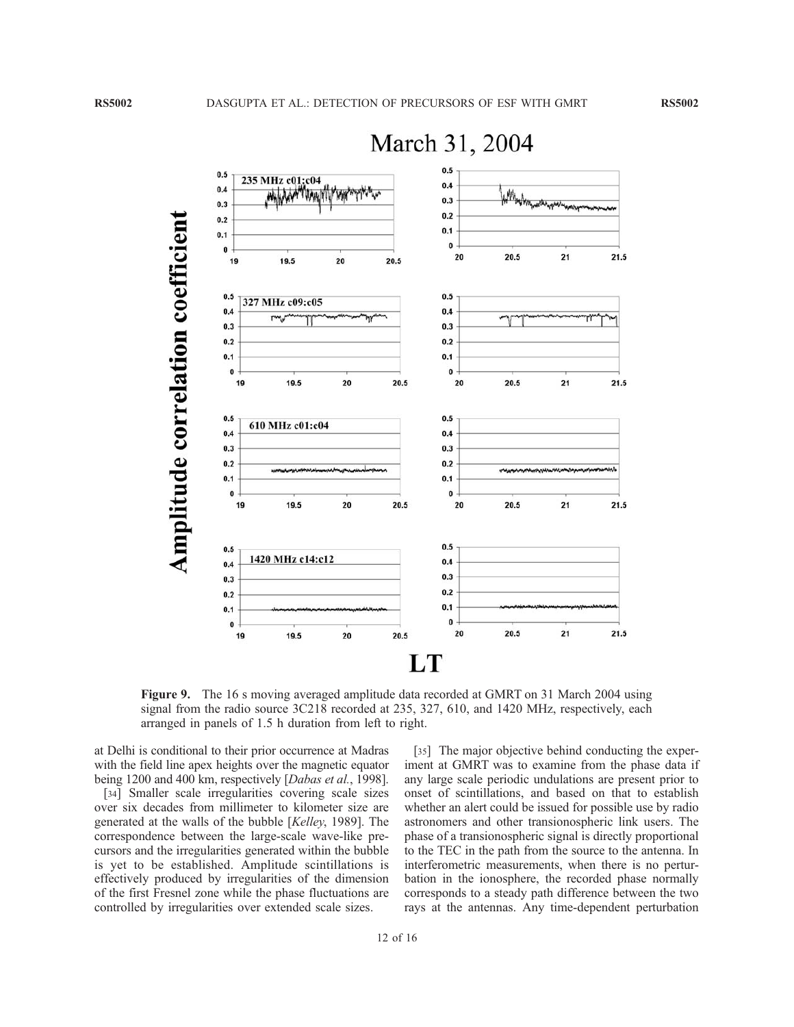

# March 31, 2004

Figure 9. The 16 s moving averaged amplitude data recorded at GMRT on 31 March 2004 using signal from the radio source 3C218 recorded at 235, 327, 610, and 1420 MHz, respectively, each arranged in panels of 1.5 h duration from left to right.

at Delhi is conditional to their prior occurrence at Madras with the field line apex heights over the magnetic equator being 1200 and 400 km, respectively [*Dabas et al.*, 1998].

[34] Smaller scale irregularities covering scale sizes over six decades from millimeter to kilometer size are generated at the walls of the bubble [*Kelley*, 1989]. The correspondence between the large-scale wave-like precursors and the irregularities generated within the bubble is yet to be established. Amplitude scintillations is effectively produced by irregularities of the dimension of the first Fresnel zone while the phase fluctuations are controlled by irregularities over extended scale sizes.

[35] The major objective behind conducting the experiment at GMRT was to examine from the phase data if any large scale periodic undulations are present prior to onset of scintillations, and based on that to establish whether an alert could be issued for possible use by radio astronomers and other transionospheric link users. The phase of a transionospheric signal is directly proportional to the TEC in the path from the source to the antenna. In interferometric measurements, when there is no perturbation in the ionosphere, the recorded phase normally corresponds to a steady path difference between the two rays at the antennas. Any time-dependent perturbation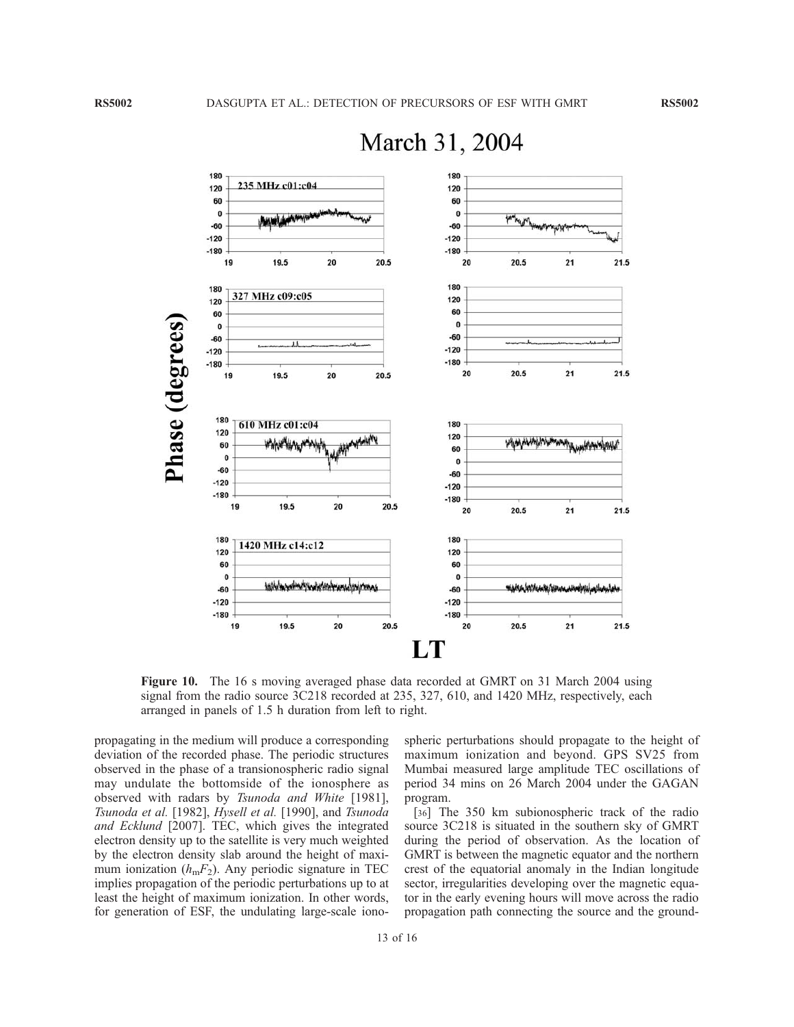

## March 31, 2004

Figure 10. The 16 s moving averaged phase data recorded at GMRT on 31 March 2004 using signal from the radio source 3C218 recorded at 235, 327, 610, and 1420 MHz, respectively, each arranged in panels of 1.5 h duration from left to right.

propagating in the medium will produce a corresponding deviation of the recorded phase. The periodic structures observed in the phase of a transionospheric radio signal may undulate the bottomside of the ionosphere as observed with radars by *Tsunoda and White* [1981], *Tsunoda et al.* [1982], *Hysell et al.* [1990], and *Tsunoda and Ecklund* [2007]. TEC, which gives the integrated electron density up to the satellite is very much weighted by the electron density slab around the height of maximum ionization  $(h_mF_2)$ . Any periodic signature in TEC implies propagation of the periodic perturbations up to at least the height of maximum ionization. In other words, for generation of ESF, the undulating large-scale iono-

spheric perturbations should propagate to the height of maximum ionization and beyond. GPS SV25 from Mumbai measured large amplitude TEC oscillations of period 34 mins on 26 March 2004 under the GAGAN program.

[36] The 350 km subionospheric track of the radio source 3C218 is situated in the southern sky of GMRT during the period of observation. As the location of GMRT is between the magnetic equator and the northern crest of the equatorial anomaly in the Indian longitude sector, irregularities developing over the magnetic equator in the early evening hours will move across the radio propagation path connecting the source and the ground-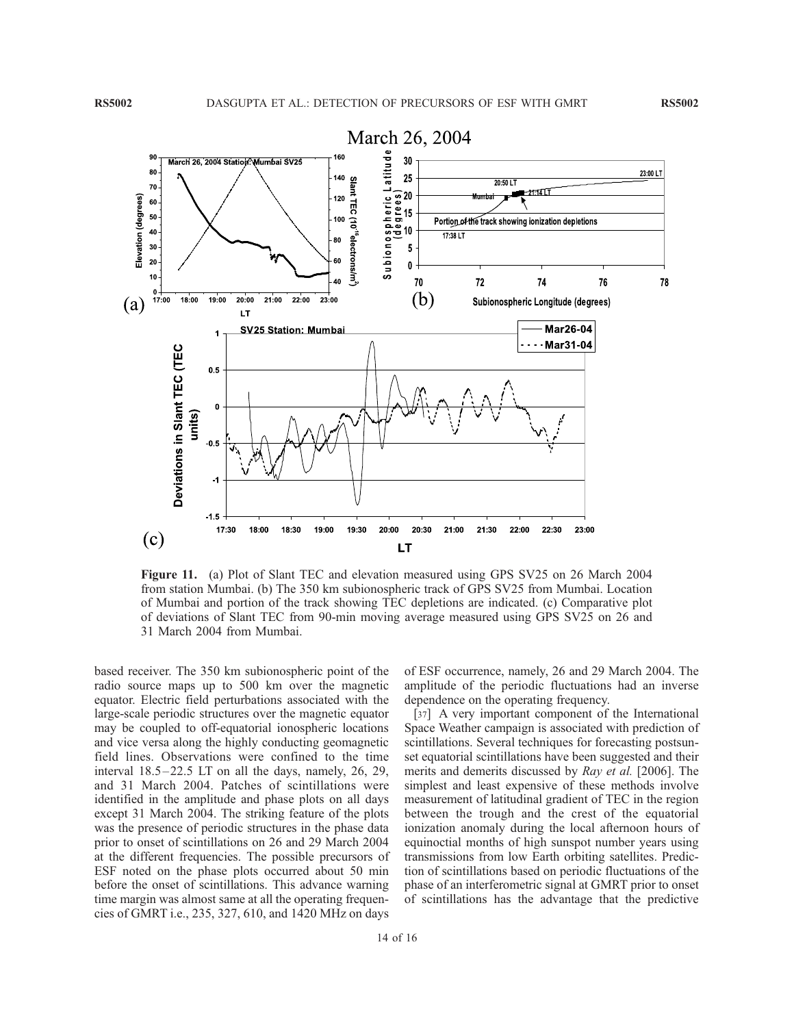

Figure 11. (a) Plot of Slant TEC and elevation measured using GPS SV25 on 26 March 2004 from station Mumbai. (b) The 350 km subionospheric track of GPS SV25 from Mumbai. Location of Mumbai and portion of the track showing TEC depletions are indicated. (c) Comparative plot of deviations of Slant TEC from 90-min moving average measured using GPS SV25 on 26 and 31 March 2004 from Mumbai.

based receiver. The 350 km subionospheric point of the radio source maps up to 500 km over the magnetic equator. Electric field perturbations associated with the large-scale periodic structures over the magnetic equator may be coupled to off-equatorial ionospheric locations and vice versa along the highly conducting geomagnetic field lines. Observations were confined to the time interval  $18.5 - 22.5$  LT on all the days, namely,  $26$ ,  $29$ , and 31 March 2004. Patches of scintillations were identified in the amplitude and phase plots on all days except 31 March 2004. The striking feature of the plots was the presence of periodic structures in the phase data prior to onset of scintillations on 26 and 29 March 2004 at the different frequencies. The possible precursors of ESF noted on the phase plots occurred about 50 min before the onset of scintillations. This advance warning time margin was almost same at all the operating frequencies of GMRT i.e., 235, 327, 610, and 1420 MHz on days

of ESF occurrence, namely, 26 and 29 March 2004. The amplitude of the periodic fluctuations had an inverse dependence on the operating frequency.

[37] A very important component of the International Space Weather campaign is associated with prediction of scintillations. Several techniques for forecasting postsunset equatorial scintillations have been suggested and their merits and demerits discussed by *Ray et al.* [2006]. The simplest and least expensive of these methods involve measurement of latitudinal gradient of TEC in the region between the trough and the crest of the equatorial ionization anomaly during the local afternoon hours of equinoctial months of high sunspot number years using transmissions from low Earth orbiting satellites. Prediction of scintillations based on periodic fluctuations of the phase of an interferometric signal at GMRT prior to onset of scintillations has the advantage that the predictive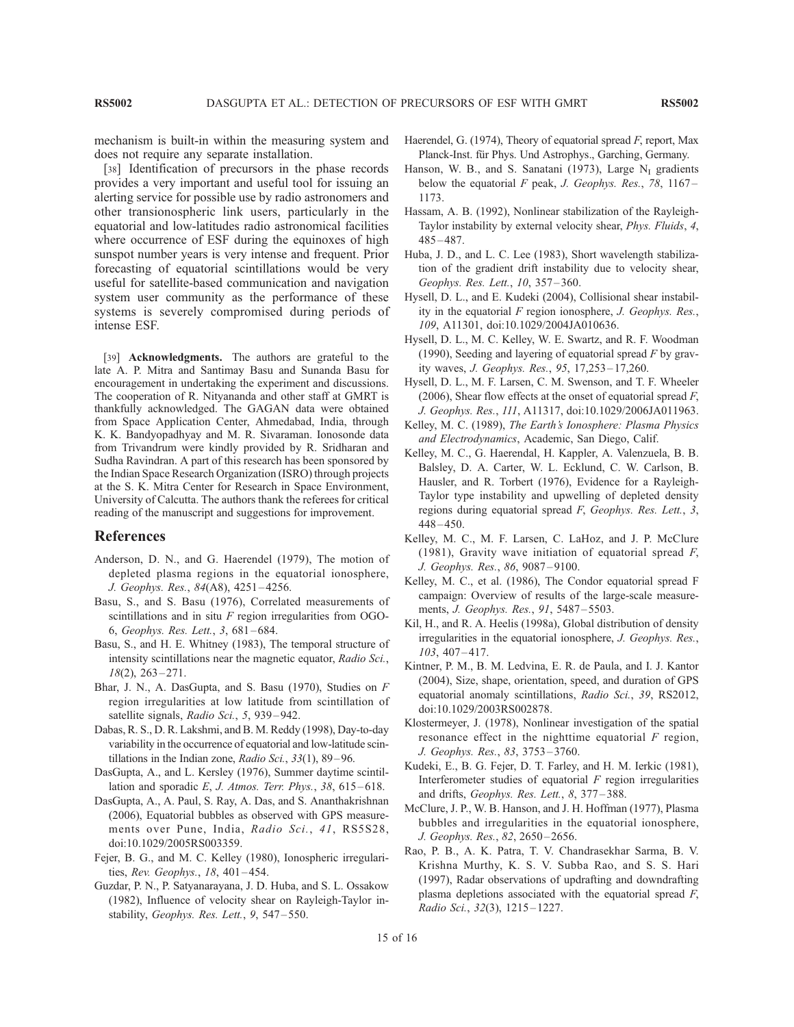mechanism is built-in within the measuring system and does not require any separate installation.

[38] Identification of precursors in the phase records provides a very important and useful tool for issuing an alerting service for possible use by radio astronomers and other transionospheric link users, particularly in the equatorial and low-latitudes radio astronomical facilities where occurrence of ESF during the equinoxes of high sunspot number years is very intense and frequent. Prior forecasting of equatorial scintillations would be very useful for satellite-based communication and navigation system user community as the performance of these systems is severely compromised during periods of intense ESF.

[39] Acknowledgments. The authors are grateful to the late A. P. Mitra and Santimay Basu and Sunanda Basu for encouragement in undertaking the experiment and discussions. The cooperation of R. Nityananda and other staff at GMRT is thankfully acknowledged. The GAGAN data were obtained from Space Application Center, Ahmedabad, India, through K. K. Bandyopadhyay and M. R. Sivaraman. Ionosonde data from Trivandrum were kindly provided by R. Sridharan and Sudha Ravindran. A part of this research has been sponsored by the Indian Space Research Organization (ISRO) through projects at the S. K. Mitra Center for Research in Space Environment, University of Calcutta. The authors thank the referees for critical reading of the manuscript and suggestions for improvement.

#### References

- Anderson, D. N., and G. Haerendel (1979), The motion of depleted plasma regions in the equatorial ionosphere, *J. Geophys. Res.*, *84*(A8), 4251 – 4256.
- Basu, S., and S. Basu (1976), Correlated measurements of scintillations and in situ *F* region irregularities from OGO-6, *Geophys. Res. Lett.*, *3*, 681 – 684.
- Basu, S., and H. E. Whitney (1983), The temporal structure of intensity scintillations near the magnetic equator, *Radio Sci.*, *18*(2), 263 – 271.
- Bhar, J. N., A. DasGupta, and S. Basu (1970), Studies on *F* region irregularities at low latitude from scintillation of satellite signals, *Radio Sci.*, *5*, 939 – 942.
- Dabas, R. S., D. R. Lakshmi, and B. M. Reddy (1998), Day-to-day variability in the occurrence of equatorial and low-latitude scintillations in the Indian zone, *Radio Sci.*, *33*(1), 89 – 96.
- DasGupta, A., and L. Kersley (1976), Summer daytime scintillation and sporadic *E*, *J. Atmos. Terr. Phys.*, *38*, 615 – 618.
- DasGupta, A., A. Paul, S. Ray, A. Das, and S. Ananthakrishnan (2006), Equatorial bubbles as observed with GPS measurements over Pune, India, *Radio Sci.*, *41*, RS5S28, doi:10.1029/2005RS003359.
- Fejer, B. G., and M. C. Kelley (1980), Ionospheric irregularities, *Rev. Geophys.*, *18*, 401 – 454.
- Guzdar, P. N., P. Satyanarayana, J. D. Huba, and S. L. Ossakow (1982), Influence of velocity shear on Rayleigh-Taylor instability, *Geophys. Res. Lett.*, *9*, 547 – 550.
- Haerendel, G. (1974), Theory of equatorial spread *F*, report, Max Planck-Inst. für Phys. Und Astrophys., Garching, Germany.
- Hanson, W. B., and S. Sanatani (1973), Large  $N_I$  gradients below the equatorial *F* peak, *J. Geophys. Res.*, *78*, 1167 – 1173.
- Hassam, A. B. (1992), Nonlinear stabilization of the Rayleigh-Taylor instability by external velocity shear, *Phys. Fluids*, *4*, 485 – 487.
- Huba, J. D., and L. C. Lee (1983), Short wavelength stabilization of the gradient drift instability due to velocity shear, *Geophys. Res. Lett.*, *10*, 357 – 360.
- Hysell, D. L., and E. Kudeki (2004), Collisional shear instability in the equatorial *F* region ionosphere, *J. Geophys. Res.*, *109*, A11301, doi:10.1029/2004JA010636.
- Hysell, D. L., M. C. Kelley, W. E. Swartz, and R. F. Woodman (1990), Seeding and layering of equatorial spread *F* by gravity waves, *J. Geophys. Res.*, *95*, 17,253 – 17,260.
- Hysell, D. L., M. F. Larsen, C. M. Swenson, and T. F. Wheeler (2006), Shear flow effects at the onset of equatorial spread *F*, *J. Geophys. Res.*, *111*, A11317, doi:10.1029/2006JA011963.
- Kelley, M. C. (1989), *The Earth's Ionosphere: Plasma Physics and Electrodynamics*, Academic, San Diego, Calif.
- Kelley, M. C., G. Haerendal, H. Kappler, A. Valenzuela, B. B. Balsley, D. A. Carter, W. L. Ecklund, C. W. Carlson, B. Hausler, and R. Torbert (1976), Evidence for a Rayleigh-Taylor type instability and upwelling of depleted density regions during equatorial spread *F*, *Geophys. Res. Lett.*, *3*,  $448 - 450.$
- Kelley, M. C., M. F. Larsen, C. LaHoz, and J. P. McClure (1981), Gravity wave initiation of equatorial spread *F*, *J. Geophys. Res.*, *86*, 9087 – 9100.
- Kelley, M. C., et al. (1986), The Condor equatorial spread F campaign: Overview of results of the large-scale measurements, *J. Geophys. Res.*, *91*, 5487 – 5503.
- Kil, H., and R. A. Heelis (1998a), Global distribution of density irregularities in the equatorial ionosphere, *J. Geophys. Res.*, *103*, 407 – 417.
- Kintner, P. M., B. M. Ledvina, E. R. de Paula, and I. J. Kantor (2004), Size, shape, orientation, speed, and duration of GPS equatorial anomaly scintillations, *Radio Sci.*, *39*, RS2012, doi:10.1029/2003RS002878.
- Klostermeyer, J. (1978), Nonlinear investigation of the spatial resonance effect in the nighttime equatorial *F* region, *J. Geophys. Res.*, *83*, 3753 – 3760.
- Kudeki, E., B. G. Fejer, D. T. Farley, and H. M. Ierkic (1981), Interferometer studies of equatorial *F* region irregularities and drifts, *Geophys. Res. Lett.*, *8*, 377 – 388.
- McClure, J. P., W. B. Hanson, and J. H. Hoffman (1977), Plasma bubbles and irregularities in the equatorial ionosphere, *J. Geophys. Res.*, *82*, 2650 – 2656.
- Rao, P. B., A. K. Patra, T. V. Chandrasekhar Sarma, B. V. Krishna Murthy, K. S. V. Subba Rao, and S. S. Hari (1997), Radar observations of updrafting and downdrafting plasma depletions associated with the equatorial spread *F*, *Radio Sci.*, *32*(3), 1215 – 1227.